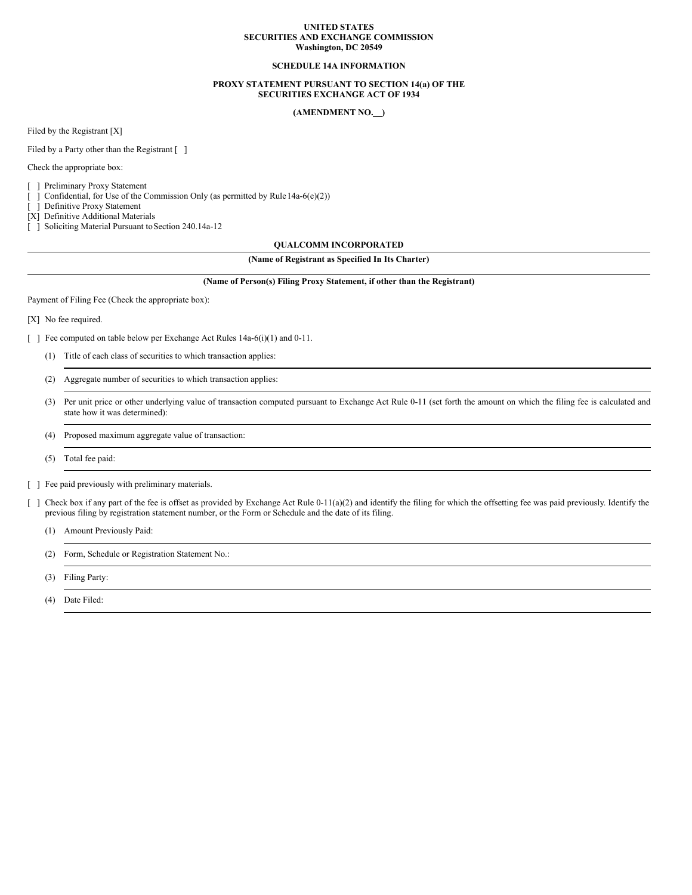### **UNITED STATES SECURITIES AND EXCHANGE COMMISSION Washington, DC 20549**

### **SCHEDULE 14A INFORMATION**

### **PROXY STATEMENT PURSUANT TO SECTION 14(a) OF THE SECURITIES EXCHANGE ACT OF 1934**

## **(AMENDMENT NO. )**

Filed by the Registrant [X]

Filed by a Party other than the Registrant [ ]

Check the appropriate box:

[ ] Preliminary Proxy Statement

[ ] Confidential, for Use of the Commission Only (as permitted by Rule 14a-6(e)(2))

[ ] Definitive Proxy Statement

[X] Definitive Additional Materials

[ ] Soliciting Material Pursuant to Section 240.14a-12

### **QUALCOMM INCORPORATED**

# **(Name of Registrant as Specified In Its Charter)**

#### **(Name of Person(s) Filing Proxy Statement, if other than the Registrant)**

Payment of Filing Fee (Check the appropriate box):

[X] No fee required.

[ ] Fee computed on table below per Exchange Act Rules 14a-6(i)(1) and 0-11.

- (1) Title of each class of securities to which transaction applies:
- (2) Aggregate number of securities to which transaction applies:
- (3) Per unit price or other underlying value of transaction computed pursuant to Exchange Act Rule 0-11 (set forth the amount on which the filing fee is calculated and state how it was determined):
- (4) Proposed maximum aggregate value of transaction:
- (5) Total fee paid:
- [ ] Fee paid previously with preliminary materials.
- [ ] Check box if any part of the fee is offset as provided by Exchange Act Rule 0-11(a)(2) and identify the filing for which the offsetting fee was paid previously. Identify the previous filing by registration statement number, or the Form or Schedule and the date of its filing.
	- (1) Amount Previously Paid:
	- (2) Form, Schedule or Registration Statement No.:
	- (3) Filing Party:
	- (4) Date Filed: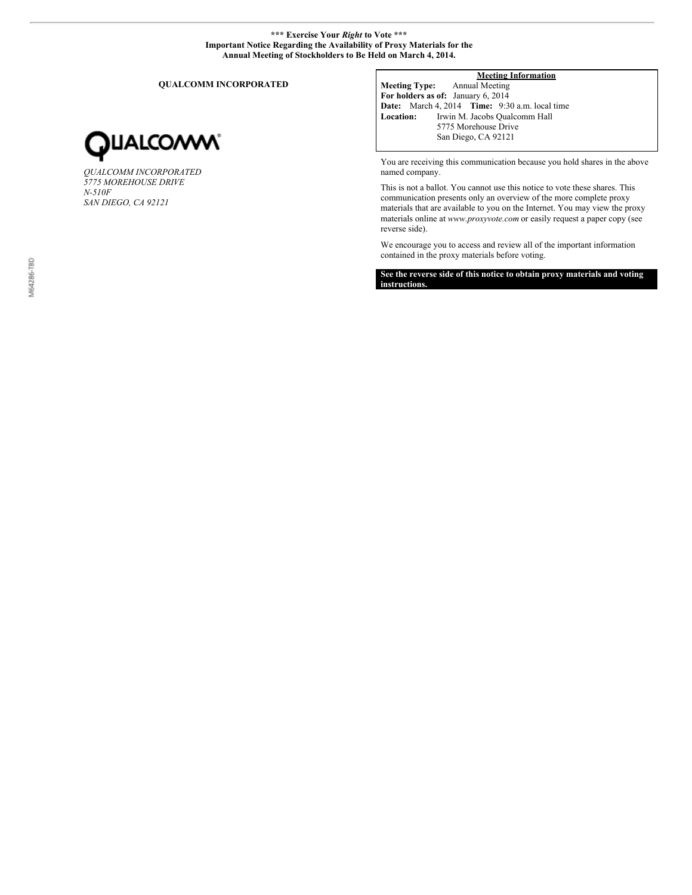## **\*\*\* Exercise Your** *Right* **to Vote \*\*\* Important Notice Regarding the Availability of Proxy Materials for the Annual Meeting of Stockholders to Be Held on March 4, 2014.**

**QUALCOMM INCORPORATED**



*QUALCOMM INCORPORATED 5775 MOREHOUSE DRIVE N-510F SAN DIEGO, CA 92121*

# **Meeting Information**

**Meeting Type:** Annual Meeting **For holders as of:** January 6, 2014 **Date:** March 4, 2014 **Time:** 9:30 a.m. local time **Location:** Irwin M. Jacobs Qualcomm Hall 5775 Morehouse Drive San Diego, CA 92121

You are receiving this communication because you hold shares in the above named company.

This is not a ballot. You cannot use this notice to vote these shares. This communication presents only an overview of the more complete proxy materials that are available to you on the Internet. You may view the proxy materials online at *www.proxyvote.com* or easily request a paper copy (see reverse side).

We encourage you to access and review all of the important information contained in the proxy materials before voting.

**See the reverse side of this notice to obtain proxy materials and voting instructions.**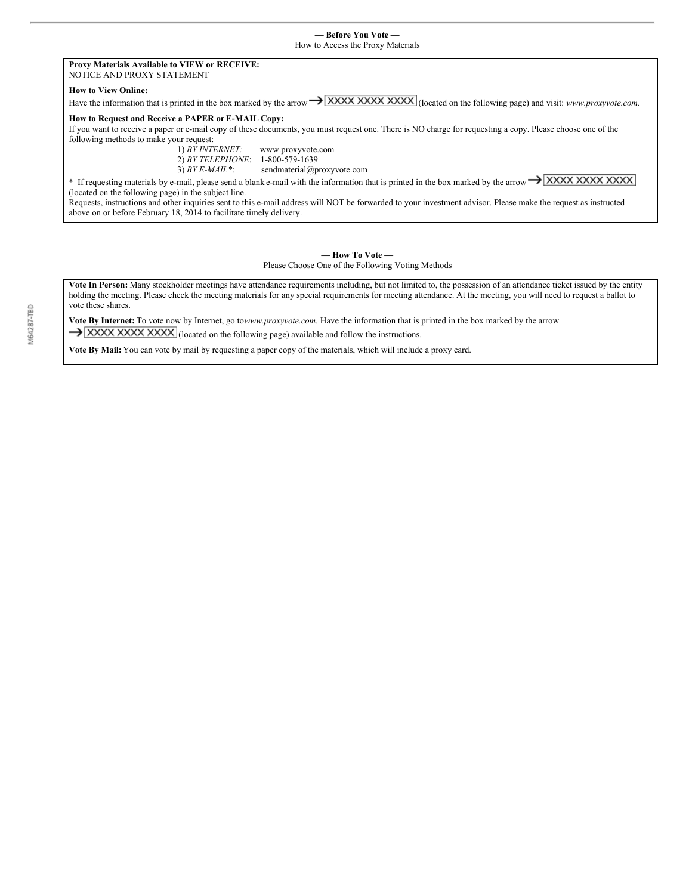### **Proxy Materials Available to VIEW or RECEIVE:** NOTICE AND PROXY STATEMENT

### **How to View Online:**

Have the information that is printed in the box marked by the arrow  $\rightarrow$  **XXXX XXXX XXXX** (located on the following page) and visit: *www.proxyvote.com.* 

# **How to Request and Receive a PAPER or E-MAIL Copy:**

If you want to receive a paper or e-mail copy of these documents, you must request one. There is NO charge for requesting a copy. Please choose one of the following methods to make your request:<br> $1) BY INTERNET:$ 

1) *BY INTERNET:* www.proxyvote.com 2) *BY TELEPHONE*: 1-800-579-1639

3) *BY E-MAIL\**: sendmaterial@proxyvote.com

\* If requesting materials by e-mail, please send a blank e-mail with the information that is printed in the box marked by the arrow  $\rightarrow$   $\sqrt{\text{XXX XXX} \times \text{XXX}}$ (located on the following page) in the subject line.

Requests, instructions and other inquiries sent to this e-mail address will NOT be forwarded to your investment advisor. Please make the request as instructed above on or before February 18, 2014 to facilitate timely delivery.

## **— How To Vote —** Please Choose One of the Following Voting Methods

**Vote In Person:** Many stockholder meetings have attendance requirements including, but not limited to, the possession of an attendance ticket issued by the entity holding the meeting. Please check the meeting materials for any special requirements for meeting attendance. At the meeting, you will need to request a ballot to vote these shares.

**Vote By Internet:** To vote now by Internet, go to*www.proxyvote.com.* Have the information that is printed in the box marked by the arrow  $\rightarrow$  XXXX XXXX XXXX (located on the following page) available and follow the instructions.

**Vote By Mail:** You can vote by mail by requesting a paper copy of the materials, which will include a proxy card.